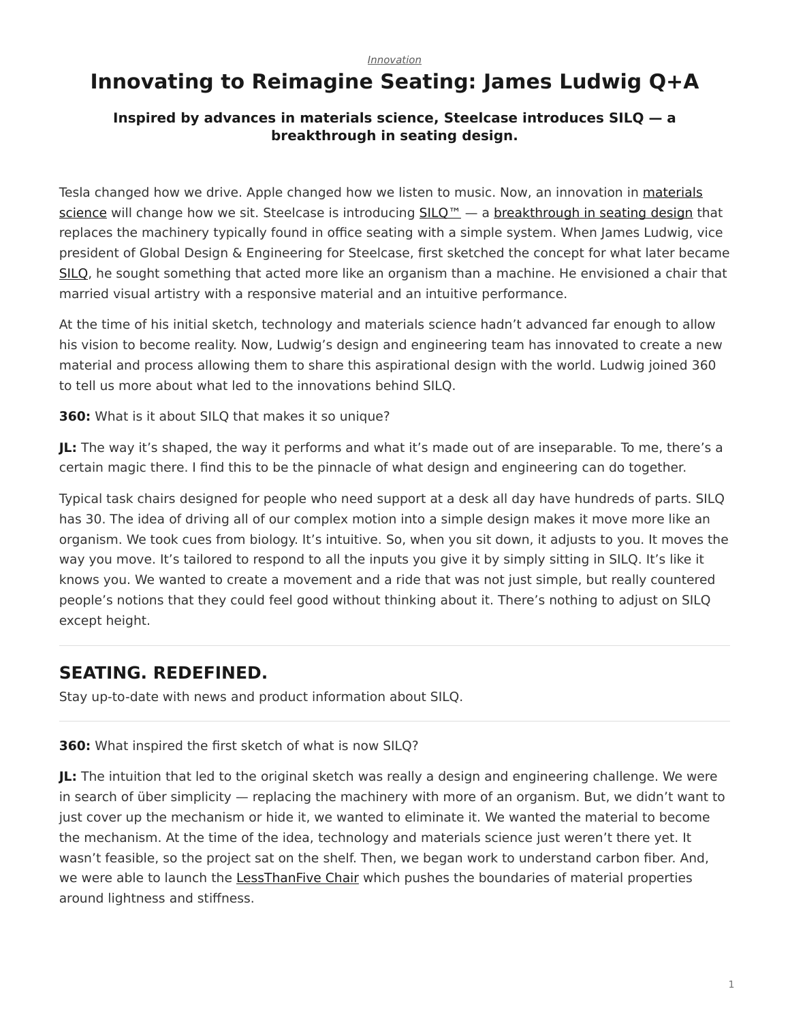#### *[Innovation](https://www.steelcase.com/research/topics/innovation/)*

## <span id="page-0-0"></span>**Innovating to Reimagine Seating: James Ludwig Q+A**

#### **Inspired by advances in materials science, Steelcase introduces SILQ — a breakthrough in seating design.**

Tesla changed how we drive. Apple changed how we listen to music. Now, an innovation in [materials](https://www.steelcase.com/resources/surface-materials/) [science](https://www.steelcase.com/resources/surface-materials/) will change how we sit. Steelcase is introducing [SILQ™](https://www.steelcase.com/products/office-chairs/silq/) — a [breakthrough in seating design](https://www.steelcase.com/research/topics/custom-design/) that replaces the machinery typically found in office seating with a simple system. When James Ludwig, vice president of Global Design & Engineering for Steelcase, first sketched the concept for what later became [SILQ](https://info.steelcase.com/silq-steelcase?utm_source=dotcom&utm_medium=blog-post&utm_campaign=silq&utm_content=silq-lander), he sought something that acted more like an organism than a machine. He envisioned a chair that married visual artistry with a responsive material and an intuitive performance.

At the time of his initial sketch, technology and materials science hadn't advanced far enough to allow his vision to become reality. Now, Ludwig's design and engineering team has innovated to create a new material and process allowing them to share this aspirational design with the world. Ludwig joined 360 to tell us more about what led to the innovations behind SILQ.

**360:** What is it about SILQ that makes it so unique?

**JL:** The way it's shaped, the way it performs and what it's made out of are inseparable. To me, there's a certain magic there. I find this to be the pinnacle of what design and engineering can do together.

Typical task chairs designed for people who need support at a desk all day have hundreds of parts. SILQ has 30. The idea of driving all of our complex motion into a simple design makes it move more like an organism. We took cues from biology. It's intuitive. So, when you sit down, it adjusts to you. It moves the way you move. It's tailored to respond to all the inputs you give it by simply sitting in SILQ. It's like it knows you. We wanted to create a movement and a ride that was not just simple, but really countered people's notions that they could feel good without thinking about it. There's nothing to adjust on SILQ except height.

### **SEATING. REDEFINED.**

Stay up-to-date with news and product information about SILQ.

**360:** What inspired the first sketch of what is now SILQ?

**JL:** The intuition that led to the original sketch was really a design and engineering challenge. We were in search of über simplicity — replacing the machinery with more of an organism. But, we didn't want to just cover up the mechanism or hide it, we wanted to eliminate it. We wanted the material to become the mechanism. At the time of the idea, technology and materials science just weren't there yet. It wasn't feasible, so the project sat on the shelf. Then, we began work to understand carbon fiber. And, we were able to launch the [LessThanFive Chair](https://www.steelcase.com/products/side-guest-chairs/lessthanfive-chair/) which pushes the boundaries of material properties around lightness and stiffness.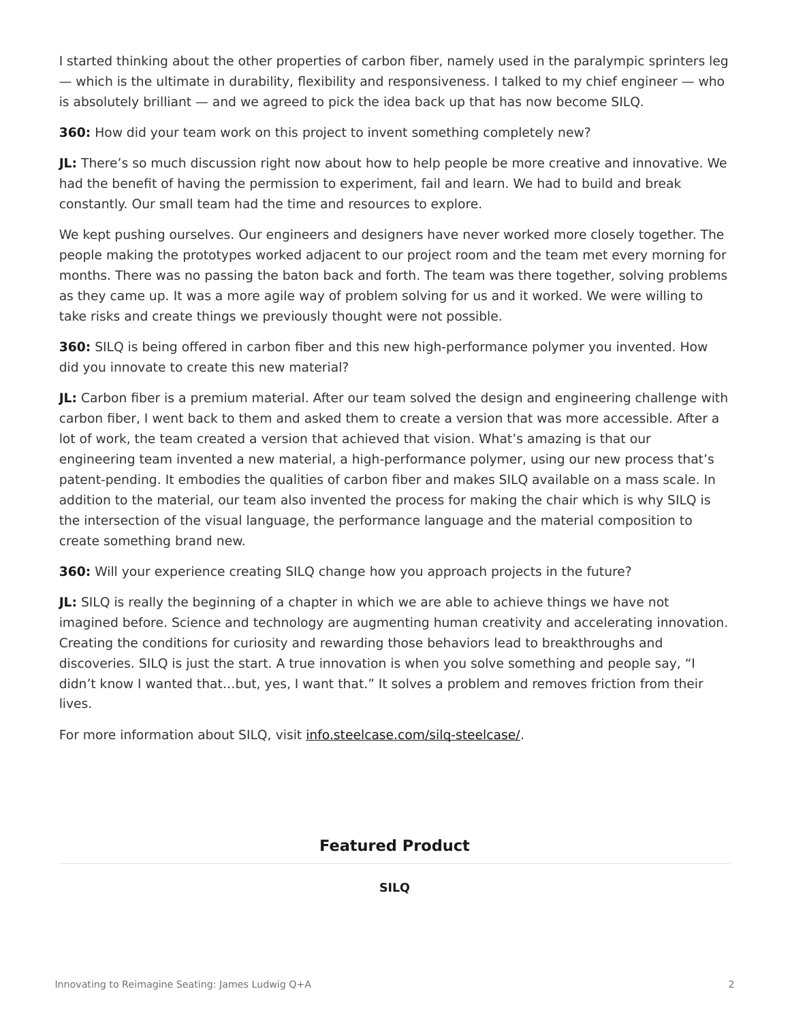I started thinking about the other properties of carbon fiber, namely used in the paralympic sprinters leg — which is the ultimate in durability, flexibility and responsiveness. I talked to my chief engineer — who is absolutely brilliant — and we agreed to pick the idea back up that has now become SILQ.

**360:** How did your team work on this project to invent something completely new?

**JL:** There's so much discussion right now about how to help people be more creative and innovative. We had the benefit of having the permission to experiment, fail and learn. We had to build and break constantly. Our small team had the time and resources to explore.

We kept pushing ourselves. Our engineers and designers have never worked more closely together. The people making the prototypes worked adjacent to our project room and the team met every morning for months. There was no passing the baton back and forth. The team was there together, solving problems as they came up. It was a more agile way of problem solving for us and it worked. We were willing to take risks and create things we previously thought were not possible.

**360:** SILQ is being offered in carbon fiber and this new high-performance polymer you invented. How did you innovate to create this new material?

**JL:** Carbon fiber is a premium material. After our team solved the design and engineering challenge with carbon fiber, I went back to them and asked them to create a version that was more accessible. After a lot of work, the team created a version that achieved that vision. What's amazing is that our engineering team invented a new material, a high-performance polymer, using our new process that's patent-pending. It embodies the qualities of carbon fiber and makes SILQ available on a mass scale. In addition to the material, our team also invented the process for making the chair which is why SILQ is the intersection of the visual language, the performance language and the material composition to create something brand new.

**360:** Will your experience creating SILQ change how you approach projects in the future?

**JL:** SILQ is really the beginning of a chapter in which we are able to achieve things we have not imagined before. Science and technology are augmenting human creativity and accelerating innovation. Creating the conditions for curiosity and rewarding those behaviors lead to breakthroughs and discoveries. SILQ is just the start. A true innovation is when you solve something and people say, "I didn't know I wanted that…but, yes, I want that." It solves a problem and removes friction from their lives.

For more information about SILQ, visit info.steelcase.com/silg-steelcase/.

#### **Featured Product**

**[SILQ](https://www.steelcase.com/products/conference-chairs/silq/)**